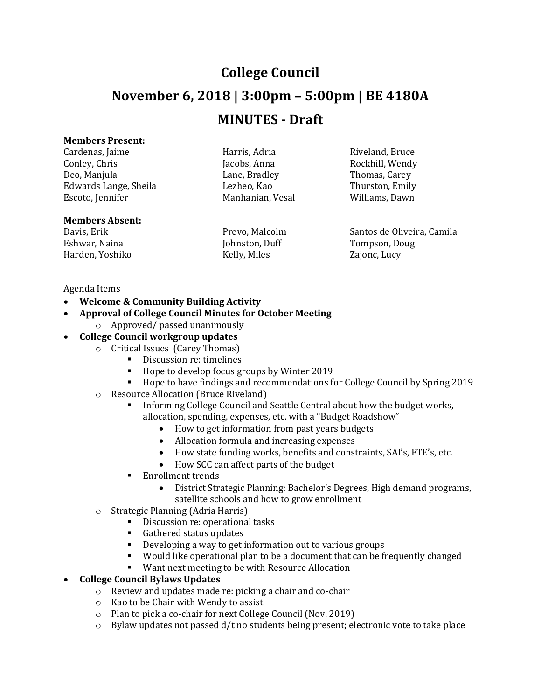# **College Council November 6, 2018 | 3:00pm – 5:00pm | BE 4180A MINUTES - Draft**

### **Members Present:**

Cardenas, Jaime **Harris, Adria** Harris, Adria Riveland, Bruce Conley, Chris Conley, Chris Conley, Chris Jacobs, Anna Rockhill, Wendy Deo, Manjula Lane, Bradley Thomas, Carey Edwards Lange, Sheila Lezheo, Kao Thurston, Emily Escoto, Jennifer Manhanian, Vesal Williams, Dawn

# **Members Absent:**

Davis, Erik Prevo, Malcolm Santos de Oliveira, Camila Eshwar, Naina **Iohnston, Duff** Tompson, Doug Harden, Yoshiko Kelly, Miles Zajonc, Lucy

#### Agenda Items

- **Welcome & Community Building Activity**
- **Approval of College Council Minutes for October Meeting**
	- o Approved/ passed unanimously
- **College Council workgroup updates** 
	- o Critical Issues (Carey Thomas)
		- Discussion re: timelines
		- Hope to develop focus groups by Winter 2019
		- Hope to have findings and recommendations for College Council by Spring 2019
	- o Resource Allocation (Bruce Riveland)
		- Informing College Council and Seattle Central about how the budget works, allocation, spending, expenses, etc. with a "Budget Roadshow"
			- How to get information from past years budgets
			- Allocation formula and increasing expenses
			- How state funding works, benefits and constraints, SAI's, FTE's, etc.
			- How SCC can affect parts of the budget
		- **Enrollment trends** 
			- District Strategic Planning: Bachelor's Degrees, High demand programs, satellite schools and how to grow enrollment
	- o Strategic Planning (Adria Harris)
		- Discussion re: operational tasks
			- Gathered status updates
			- Developing a way to get information out to various groups
			- Would like operational plan to be a document that can be frequently changed
		- Want next meeting to be with Resource Allocation

## **College Council Bylaws Updates**

- o Review and updates made re: picking a chair and co-chair
- o Kao to be Chair with Wendy to assist
- o Plan to pick a co-chair for next College Council (Nov. 2019)
- $\circ$  Bylaw updates not passed d/t no students being present; electronic vote to take place